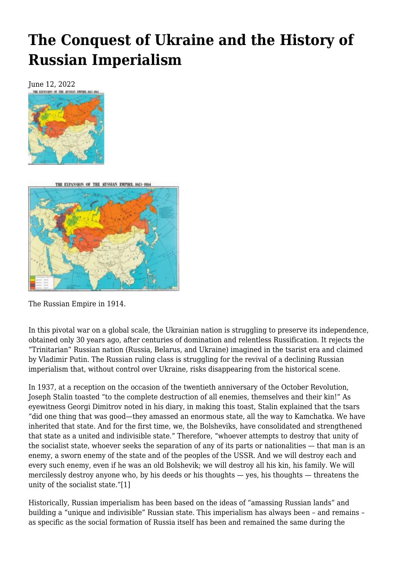# **[The Conquest of Ukraine and the History of](https://newpol.org/the-conquest-of-ukraine-and-the-history-of-russian-imperialism/) [Russian Imperialism](https://newpol.org/the-conquest-of-ukraine-and-the-history-of-russian-imperialism/)**

June 12, 2022





The Russian Empire in 1914.

In this pivotal war on a global scale, the Ukrainian nation is struggling to preserve its independence, obtained only 30 years ago, after centuries of domination and relentless Russification. It rejects the "Trinitarian" Russian nation (Russia, Belarus, and Ukraine) imagined in the tsarist era and claimed by Vladimir Putin. The Russian ruling class is struggling for the revival of a declining Russian imperialism that, without control over Ukraine, risks disappearing from the historical scene.

In 1937, at a reception on the occasion of the twentieth anniversary of the October Revolution, Joseph Stalin toasted "to the complete destruction of all enemies, themselves and their kin!" As eyewitness Georgi Dimitrov noted in his diary, in making this toast, Stalin explained that the tsars "did one thing that was good—they amassed an enormous state, all the way to Kamchatka. We have inherited that state. And for the first time, we, the Bolsheviks, have consolidated and strengthened that state as a united and indivisible state." Therefore, "whoever attempts to destroy that unity of the socialist state, whoever seeks the separation of any of its parts or nationalities — that man is an enemy, a sworn enemy of the state and of the peoples of the USSR. And we will destroy each and every such enemy, even if he was an old Bolshevik; we will destroy all his kin, his family. We will mercilessly destroy anyone who, by his deeds or his thoughts — yes, his thoughts — threatens the unity of the socialist state."[1]

Historically, Russian imperialism has been based on the ideas of "amassing Russian lands" and building a "unique and indivisible" Russian state. This imperialism has always been – and remains – as specific as the social formation of Russia itself has been and remained the same during the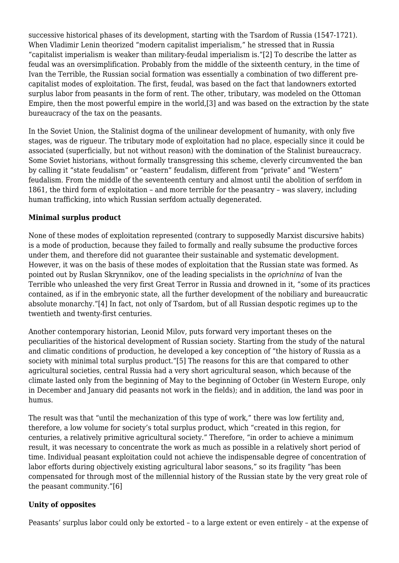successive historical phases of its development, starting with the Tsardom of Russia (1547-1721). When Vladimir Lenin theorized "modern capitalist imperialism," he stressed that in Russia "capitalist imperialism is weaker than military-feudal imperialism is."[2] To describe the latter as feudal was an oversimplification. Probably from the middle of the sixteenth century, in the time of Ivan the Terrible, the Russian social formation was essentially a combination of two different precapitalist modes of exploitation. The first, feudal, was based on the fact that landowners extorted surplus labor from peasants in the form of rent. The other, tributary, was modeled on the Ottoman Empire, then the most powerful empire in the world,[3] and was based on the extraction by the state bureaucracy of the tax on the peasants.

In the Soviet Union, the Stalinist dogma of the unilinear development of humanity, with only five stages, was de rigueur. The tributary mode of exploitation had no place, especially since it could be associated (superficially, but not without reason) with the domination of the Stalinist bureaucracy. Some Soviet historians, without formally transgressing this scheme, cleverly circumvented the ban by calling it "state feudalism" or "eastern" feudalism, different from "private" and "Western" feudalism. From the middle of the seventeenth century and almost until the abolition of serfdom in 1861, the third form of exploitation – and more terrible for the peasantry – was slavery, including human trafficking, into which Russian serfdom actually degenerated.

#### **Minimal surplus product**

None of these modes of exploitation represented (contrary to supposedly Marxist discursive habits) is a mode of production, because they failed to formally and really subsume the productive forces under them, and therefore did not guarantee their sustainable and systematic development. However, it was on the basis of these modes of exploitation that the Russian state was formed. As pointed out by Ruslan Skrynnikov, one of the leading specialists in the *oprichnina* of Ivan the Terrible who unleashed the very first Great Terror in Russia and drowned in it, "some of its practices contained, as if in the embryonic state, all the further development of the nobiliary and bureaucratic absolute monarchy."[4] In fact, not only of Tsardom, but of all Russian despotic regimes up to the twentieth and twenty-first centuries.

Another contemporary historian, Leonid Milov, puts forward very important theses on the peculiarities of the historical development of Russian society. Starting from the study of the natural and climatic conditions of production, he developed a key conception of "the history of Russia as a society with minimal total surplus product."[5] The reasons for this are that compared to other agricultural societies, central Russia had a very short agricultural season, which because of the climate lasted only from the beginning of May to the beginning of October (in Western Europe, only in December and January did peasants not work in the fields); and in addition, the land was poor in humus.

The result was that "until the mechanization of this type of work," there was low fertility and, therefore, a low volume for society's total surplus product, which "created in this region, for centuries, a relatively primitive agricultural society." Therefore, "in order to achieve a minimum result, it was necessary to concentrate the work as much as possible in a relatively short period of time. Individual peasant exploitation could not achieve the indispensable degree of concentration of labor efforts during objectively existing agricultural labor seasons," so its fragility "has been compensated for through most of the millennial history of the Russian state by the very great role of the peasant community."[6]

## **Unity of opposites**

Peasants' surplus labor could only be extorted – to a large extent or even entirely – at the expense of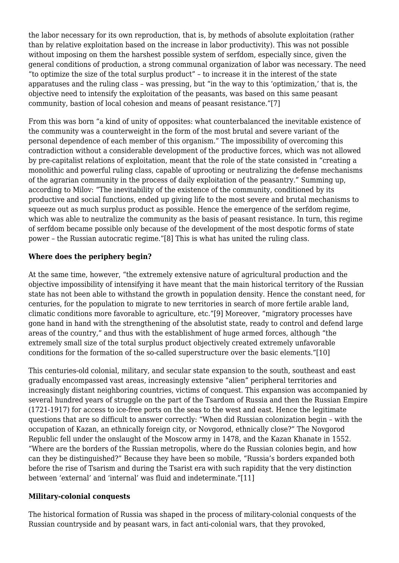the labor necessary for its own reproduction, that is, by methods of absolute exploitation (rather than by relative exploitation based on the increase in labor productivity). This was not possible without imposing on them the harshest possible system of serfdom, especially since, given the general conditions of production, a strong communal organization of labor was necessary. The need "to optimize the size of the total surplus product" – to increase it in the interest of the state apparatuses and the ruling class – was pressing, but "in the way to this 'optimization,' that is, the objective need to intensify the exploitation of the peasants, was based on this same peasant community, bastion of local cohesion and means of peasant resistance."[7]

From this was born "a kind of unity of opposites: what counterbalanced the inevitable existence of the community was a counterweight in the form of the most brutal and severe variant of the personal dependence of each member of this organism." The impossibility of overcoming this contradiction without a considerable development of the productive forces, which was not allowed by pre-capitalist relations of exploitation, meant that the role of the state consisted in "creating a monolithic and powerful ruling class, capable of uprooting or neutralizing the defense mechanisms of the agrarian community in the process of daily exploitation of the peasantry." Summing up, according to Milov: "The inevitability of the existence of the community, conditioned by its productive and social functions, ended up giving life to the most severe and brutal mechanisms to squeeze out as much surplus product as possible. Hence the emergence of the serfdom regime, which was able to neutralize the community as the basis of peasant resistance. In turn, this regime of serfdom became possible only because of the development of the most despotic forms of state power – the Russian autocratic regime."[8] This is what has united the ruling class.

## **Where does the periphery begin?**

At the same time, however, "the extremely extensive nature of agricultural production and the objective impossibility of intensifying it have meant that the main historical territory of the Russian state has not been able to withstand the growth in population density. Hence the constant need, for centuries, for the population to migrate to new territories in search of more fertile arable land, climatic conditions more favorable to agriculture, etc."[9] Moreover, "migratory processes have gone hand in hand with the strengthening of the absolutist state, ready to control and defend large areas of the country," and thus with the establishment of huge armed forces, although "the extremely small size of the total surplus product objectively created extremely unfavorable conditions for the formation of the so-called superstructure over the basic elements."[10]

This centuries-old colonial, military, and secular state expansion to the south, southeast and east gradually encompassed vast areas, increasingly extensive "alien" peripheral territories and increasingly distant neighboring countries, victims of conquest. This expansion was accompanied by several hundred years of struggle on the part of the Tsardom of Russia and then the Russian Empire (1721-1917) for access to ice-free ports on the seas to the west and east. Hence the legitimate questions that are so difficult to answer correctly: "When did Russian colonization begin – with the occupation of Kazan, an ethnically foreign city, or Novgorod, ethnically close?" The Novgorod Republic fell under the onslaught of the Moscow army in 1478, and the Kazan Khanate in 1552. "Where are the borders of the Russian metropolis, where do the Russian colonies begin, and how can they be distinguished?" Because they have been so mobile, "Russia's borders expanded both before the rise of Tsarism and during the Tsarist era with such rapidity that the very distinction between 'external' and 'internal' was fluid and indeterminate."[11]

## **Military-colonial conquests**

The historical formation of Russia was shaped in the process of military-colonial conquests of the Russian countryside and by peasant wars, in fact anti-colonial wars, that they provoked,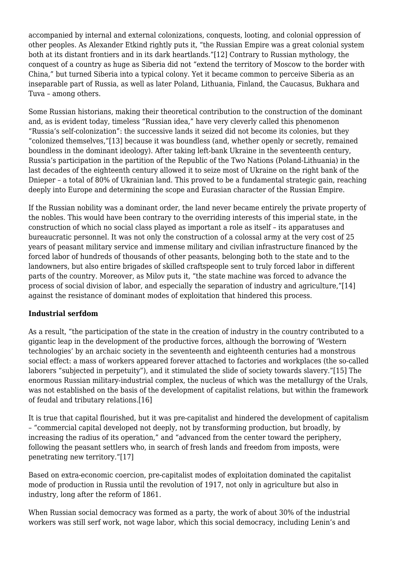accompanied by internal and external colonizations, conquests, looting, and colonial oppression of other peoples. As Alexander Etkind rightly puts it, "the Russian Empire was a great colonial system both at its distant frontiers and in its dark heartlands."[12] Contrary to Russian mythology, the conquest of a country as huge as Siberia did not "extend the territory of Moscow to the border with China," but turned Siberia into a typical colony. Yet it became common to perceive Siberia as an inseparable part of Russia, as well as later Poland, Lithuania, Finland, the Caucasus, Bukhara and Tuva – among others.

Some Russian historians, making their theoretical contribution to the construction of the dominant and, as is evident today, timeless "Russian idea," have very cleverly called this phenomenon "Russia's self-colonization": the successive lands it seized did not become its colonies, but they "colonized themselves,"[13] because it was boundless (and, whether openly or secretly, remained boundless in the dominant ideology). After taking left-bank Ukraine in the seventeenth century, Russia's participation in the partition of the Republic of the Two Nations (Poland-Lithuania) in the last decades of the eighteenth century allowed it to seize most of Ukraine on the right bank of the Dnieper – a total of 80% of Ukrainian land. This proved to be a fundamental strategic gain, reaching deeply into Europe and determining the scope and Eurasian character of the Russian Empire.

If the Russian nobility was a dominant order, the land never became entirely the private property of the nobles. This would have been contrary to the overriding interests of this imperial state, in the construction of which no social class played as important a role as itself – its apparatuses and bureaucratic personnel. It was not only the construction of a colossal army at the very cost of 25 years of peasant military service and immense military and civilian infrastructure financed by the forced labor of hundreds of thousands of other peasants, belonging both to the state and to the landowners, but also entire brigades of skilled craftspeople sent to truly forced labor in different parts of the country. Moreover, as Milov puts it, "the state machine was forced to advance the process of social division of labor, and especially the separation of industry and agriculture,"[14] against the resistance of dominant modes of exploitation that hindered this process.

## **Industrial serfdom**

As a result, "the participation of the state in the creation of industry in the country contributed to a gigantic leap in the development of the productive forces, although the borrowing of 'Western technologies' by an archaic society in the seventeenth and eighteenth centuries had a monstrous social effect: a mass of workers appeared forever attached to factories and workplaces (the so-called laborers "subjected in perpetuity"), and it stimulated the slide of society towards slavery."[15] The enormous Russian military-industrial complex, the nucleus of which was the metallurgy of the Urals, was not established on the basis of the development of capitalist relations, but within the framework of feudal and tributary relations.[16]

It is true that capital flourished, but it was pre-capitalist and hindered the development of capitalism – "commercial capital developed not deeply, not by transforming production, but broadly, by increasing the radius of its operation," and "advanced from the center toward the periphery, following the peasant settlers who, in search of fresh lands and freedom from imposts, were penetrating new territory."[17]

Based on extra-economic coercion, pre-capitalist modes of exploitation dominated the capitalist mode of production in Russia until the revolution of 1917, not only in agriculture but also in industry, long after the reform of 1861.

When Russian social democracy was formed as a party, the work of about 30% of the industrial workers was still serf work, not wage labor, which this social democracy, including Lenin's and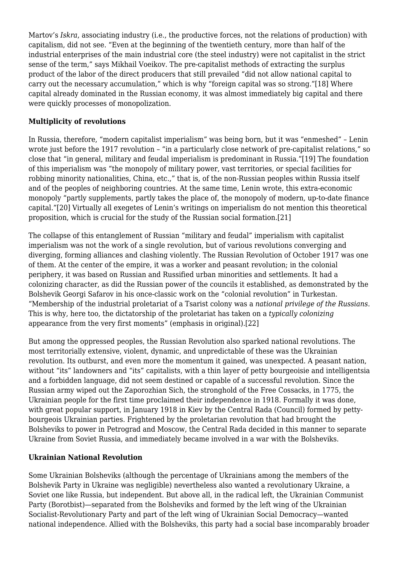Martov's *Iskra*, associating industry (i.e., the productive forces, not the relations of production) with capitalism, did not see. "Even at the beginning of the twentieth century, more than half of the industrial enterprises of the main industrial core (the steel industry) were not capitalist in the strict sense of the term," says Mikhail Voeikov. The pre-capitalist methods of extracting the surplus product of the labor of the direct producers that still prevailed "did not allow national capital to carry out the necessary accumulation," which is why "foreign capital was so strong."[18] Where capital already dominated in the Russian economy, it was almost immediately big capital and there were quickly processes of monopolization.

## **Multiplicity of revolutions**

In Russia, therefore, "modern capitalist imperialism" was being born, but it was "enmeshed" – Lenin wrote just before the 1917 revolution – "in a particularly close network of pre-capitalist relations," so close that "in general, military and feudal imperialism is predominant in Russia."[19] The foundation of this imperialism was "the monopoly of military power, vast territories, or special facilities for robbing minority nationalities, China, etc.," that is, of the non-Russian peoples within Russia itself and of the peoples of neighboring countries. At the same time, Lenin wrote, this extra-economic monopoly "partly supplements, partly takes the place of, the monopoly of modern, up-to-date finance capital."[20] Virtually all exegetes of Lenin's writings on imperialism do not mention this theoretical proposition, which is crucial for the study of the Russian social formation.[21]

The collapse of this entanglement of Russian "military and feudal" imperialism with capitalist imperialism was not the work of a single revolution, but of various revolutions converging and diverging, forming alliances and clashing violently. The Russian Revolution of October 1917 was one of them. At the center of the empire, it was a worker and peasant revolution; in the colonial periphery, it was based on Russian and Russified urban minorities and settlements. It had a colonizing character, as did the Russian power of the councils it established, as demonstrated by the Bolshevik Georgi Safarov in his once-classic work on the "colonial revolution" in Turkestan. "Membership of the industrial proletariat of a Tsarist colony was a *national privilege of the Russians.* This is why, here too, the dictatorship of the proletariat has taken on a *typically colonizing* appearance from the very first moments" (emphasis in original).[22]

But among the oppressed peoples, the Russian Revolution also sparked national revolutions. The most territorially extensive, violent, dynamic, and unpredictable of these was the Ukrainian revolution. Its outburst, and even more the momentum it gained, was unexpected. A peasant nation, without "its" landowners and "its" capitalists, with a thin layer of petty bourgeoisie and intelligentsia and a forbidden language, did not seem destined or capable of a successful revolution. Since the Russian army wiped out the Zaporozhian Sich, the stronghold of the Free Cossacks, in 1775, the Ukrainian people for the first time proclaimed their independence in 1918. Formally it was done, with great popular support, in January 1918 in Kiev by the Central Rada (Council) formed by pettybourgeois Ukrainian parties. Frightened by the proletarian revolution that had brought the Bolsheviks to power in Petrograd and Moscow, the Central Rada decided in this manner to separate Ukraine from Soviet Russia, and immediately became involved in a war with the Bolsheviks.

## **Ukrainian National Revolution**

Some Ukrainian Bolsheviks (although the percentage of Ukrainians among the members of the Bolshevik Party in Ukraine was negligible) nevertheless also wanted a revolutionary Ukraine, a Soviet one like Russia, but independent. But above all, in the radical left, the Ukrainian Communist Party (Borotbist)—separated from the Bolsheviks and formed by the left wing of the Ukrainian Socialist-Revolutionary Party and part of the left wing of Ukrainian Social Democracy—wanted national independence. Allied with the Bolsheviks, this party had a social base incomparably broader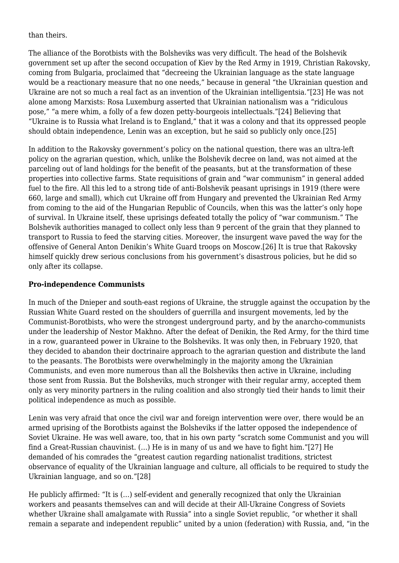than theirs.

The alliance of the Borotbists with the Bolsheviks was very difficult. The head of the Bolshevik government set up after the second occupation of Kiev by the Red Army in 1919, Christian Rakovsky, coming from Bulgaria, proclaimed that "decreeing the Ukrainian language as the state language would be a reactionary measure that no one needs," because in general "the Ukrainian question and Ukraine are not so much a real fact as an invention of the Ukrainian intelligentsia."[23] He was not alone among Marxists: Rosa Luxemburg asserted that Ukrainian nationalism was a "ridiculous pose," "a mere whim, a folly of a few dozen petty-bourgeois intellectuals."[24] Believing that "Ukraine is to Russia what Ireland is to England," that it was a colony and that its oppressed people should obtain independence, Lenin was an exception, but he said so publicly only once.[25]

In addition to the Rakovsky government's policy on the national question, there was an ultra-left policy on the agrarian question, which, unlike the Bolshevik decree on land, was not aimed at the parceling out of land holdings for the benefit of the peasants, but at the transformation of these properties into collective farms. State requisitions of grain and "war communism" in general added fuel to the fire. All this led to a strong tide of anti-Bolshevik peasant uprisings in 1919 (there were 660, large and small), which cut Ukraine off from Hungary and prevented the Ukrainian Red Army from coming to the aid of the Hungarian Republic of Councils, when this was the latter's only hope of survival. In Ukraine itself, these uprisings defeated totally the policy of "war communism." The Bolshevik authorities managed to collect only less than 9 percent of the grain that they planned to transport to Russia to feed the starving cities. Moreover, the insurgent wave paved the way for the offensive of General Anton Denikin's White Guard troops on Moscow.[26] It is true that Rakovsky himself quickly drew serious conclusions from his government's disastrous policies, but he did so only after its collapse.

#### **Pro-independence Communists**

In much of the Dnieper and south-east regions of Ukraine, the struggle against the occupation by the Russian White Guard rested on the shoulders of guerrilla and insurgent movements, led by the Communist-Borotbists, who were the strongest underground party, and by the anarcho-communists under the leadership of Nestor Makhno. After the defeat of Denikin, the Red Army, for the third time in a row, guaranteed power in Ukraine to the Bolsheviks. It was only then, in February 1920, that they decided to abandon their doctrinaire approach to the agrarian question and distribute the land to the peasants. The Borotbists were overwhelmingly in the majority among the Ukrainian Communists, and even more numerous than all the Bolsheviks then active in Ukraine, including those sent from Russia. But the Bolsheviks, much stronger with their regular army, accepted them only as very minority partners in the ruling coalition and also strongly tied their hands to limit their political independence as much as possible.

Lenin was very afraid that once the civil war and foreign intervention were over, there would be an armed uprising of the Borotbists against the Bolsheviks if the latter opposed the independence of Soviet Ukraine. He was well aware, too, that in his own party "scratch some Communist and you will find a Great-Russian chauvinist. (…) He is in many of us and we have to fight him."[27] He demanded of his comrades the "greatest caution regarding nationalist traditions, strictest observance of equality of the Ukrainian language and culture, all officials to be required to study the Ukrainian language, and so on."[28]

He publicly affirmed: "It is (…) self-evident and generally recognized that only the Ukrainian workers and peasants themselves can and will decide at their All-Ukraine Congress of Soviets whether Ukraine shall amalgamate with Russia" into a single Soviet republic, "or whether it shall remain a separate and independent republic" united by a union (federation) with Russia, and, "in the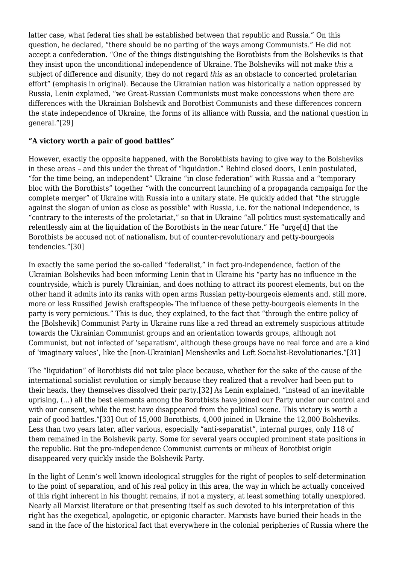latter case, what federal ties shall be established between that republic and Russia." On this question, he declared, "there should be no parting of the ways among Communists." He did not accept a confederation. "One of the things distinguishing the Borotbists from the Bolsheviks is that they insist upon the unconditional independence of Ukraine. The Bolsheviks will not make *this* a subject of difference and disunity, they do not regard *this* as an obstacle to concerted proletarian effort" (emphasis in original). Because the Ukrainian nation was historically a nation oppressed by Russia, Lenin explained, "we Great-Russian Communists must make concessions when there are differences with the Ukrainian Bolshevik and Borotbist Communists and these differences concern the state independence of Ukraine, the forms of its alliance with Russia, and the national question in general."[29]

#### **"A victory worth a pair of good battles"**

However, exactly the opposite happened, with the Borobtbists having to give way to the Bolsheviks in these areas – and this under the threat of "liquidation." Behind closed doors, Lenin postulated, "for the time being, an independent" Ukraine "in close federation" with Russia and a "temporary bloc with the Borotbists" together "with the concurrent launching of a propaganda campaign for the complete merger" of Ukraine with Russia into a unitary state. He quickly added that "the struggle against the slogan of union as close as possible" with Russia, i.e. for the national independence, is "contrary to the interests of the proletariat," so that in Ukraine "all politics must systematically and relentlessly aim at the liquidation of the Borotbists in the near future." He "urge[d] that the Borotbists be accused not of nationalism, but of counter-revolutionary and petty-bourgeois tendencies."[30]

In exactly the same period the so-called "federalist," in fact pro-independence, faction of the Ukrainian Bolsheviks had been informing Lenin that in Ukraine his "party has no influence in the countryside, which is purely Ukrainian, and does nothing to attract its poorest elements, but on the other hand it admits into its ranks with open arms Russian petty-bourgeois elements and, still more, more or less Russified Jewish craftspeople. The influence of these petty-bourgeois elements in the party is very pernicious." This is due, they explained, to the fact that "through the entire policy of the [Bolshevik] Communist Party in Ukraine runs like a red thread an extremely suspicious attitude towards the Ukrainian Communist groups and an orientation towards groups, although not Communist, but not infected of 'separatism', although these groups have no real force and are a kind of 'imaginary values', like the [non-Ukrainian] Mensheviks and Left Socialist-Revolutionaries."[31]

The "liquidation" of Borotbists did not take place because, whether for the sake of the cause of the international socialist revolution or simply because they realized that a revolver had been put to their heads, they themselves dissolved their party.[32] As Lenin explained, "instead of an inevitable uprising, (…) all the best elements among the Borotbists have joined our Party under our control and with our consent, while the rest have disappeared from the political scene. This victory is worth a pair of good battles."[33] Out of 15,000 Borotbists, 4,000 joined in Ukraine the 12,000 Bolsheviks. Less than two years later, after various, especially "anti-separatist", internal purges, only 118 of them remained in the Bolshevik party. Some for several years occupied prominent state positions in the republic. But the pro-independence Communist currents or milieux of Borotbist origin disappeared very quickly inside the Bolshevik Party.

In the light of Lenin's well known ideological struggles for the right of peoples to self-determination to the point of separation, and of his real policy in this area, the way in which he actually conceived of this right inherent in his thought remains, if not a mystery, at least something totally unexplored. Nearly all Marxist literature or that presenting itself as such devoted to his interpretation of this right has the exegetical, apologetic, or epigonic character. Marxists have buried their heads in the sand in the face of the historical fact that everywhere in the colonial peripheries of Russia where the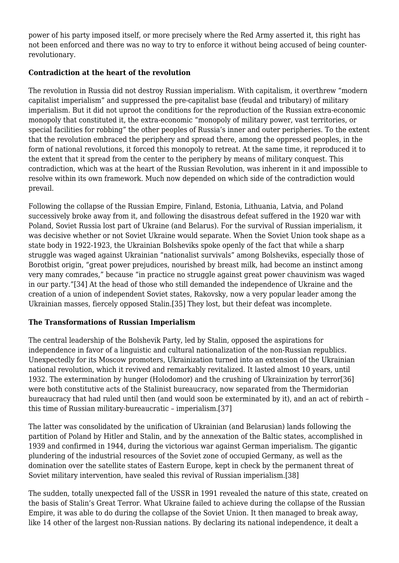power of his party imposed itself, or more precisely where the Red Army asserted it, this right has not been enforced and there was no way to try to enforce it without being accused of being counterrevolutionary.

# **Contradiction at the heart of the revolution**

The revolution in Russia did not destroy Russian imperialism. With capitalism, it overthrew "modern capitalist imperialism" and suppressed the pre-capitalist base (feudal and tributary) of military imperialism. But it did not uproot the conditions for the reproduction of the Russian extra-economic monopoly that constituted it, the extra-economic "monopoly of military power, vast territories, or special facilities for robbing" the other peoples of Russia's inner and outer peripheries. To the extent that the revolution embraced the periphery and spread there, among the oppressed peoples, in the form of national revolutions, it forced this monopoly to retreat. At the same time, it reproduced it to the extent that it spread from the center to the periphery by means of military conquest. This contradiction, which was at the heart of the Russian Revolution, was inherent in it and impossible to resolve within its own framework. Much now depended on which side of the contradiction would prevail.

Following the collapse of the Russian Empire, Finland, Estonia, Lithuania, Latvia, and Poland successively broke away from it, and following the disastrous defeat suffered in the 1920 war with Poland, Soviet Russia lost part of Ukraine (and Belarus). For the survival of Russian imperialism, it was decisive whether or not Soviet Ukraine would separate. When the Soviet Union took shape as a state body in 1922-1923, the Ukrainian Bolsheviks spoke openly of the fact that while a sharp struggle was waged against Ukrainian "nationalist survivals" among Bolsheviks, especially those of Borotbist origin, "great power prejudices, nourished by breast milk, had become an instinct among very many comrades," because "in practice no struggle against great power chauvinism was waged in our party."[34] At the head of those who still demanded the independence of Ukraine and the creation of a union of independent Soviet states, Rakovsky, now a very popular leader among the Ukrainian masses, fiercely opposed Stalin.[35] They lost, but their defeat was incomplete.

## **The Transformations of Russian Imperialism**

The central leadership of the Bolshevik Party, led by Stalin, opposed the aspirations for independence in favor of a linguistic and cultural nationalization of the non-Russian republics. Unexpectedly for its Moscow promoters, Ukrainization turned into an extension of the Ukrainian national revolution, which it revived and remarkably revitalized. It lasted almost 10 years, until 1932. The extermination by hunger (Holodomor) and the crushing of Ukrainization by terror[36] were both constitutive acts of the Stalinist bureaucracy, now separated from the Thermidorian bureaucracy that had ruled until then (and would soon be exterminated by it), and an act of rebirth – this time of Russian military-bureaucratic – imperialism.[37]

The latter was consolidated by the unification of Ukrainian (and Belarusian) lands following the partition of Poland by Hitler and Stalin, and by the annexation of the Baltic states, accomplished in 1939 and confirmed in 1944, during the victorious war against German imperialism. The gigantic plundering of the industrial resources of the Soviet zone of occupied Germany, as well as the domination over the satellite states of Eastern Europe, kept in check by the permanent threat of Soviet military intervention, have sealed this revival of Russian imperialism.[38]

The sudden, totally unexpected fall of the USSR in 1991 revealed the nature of this state, created on the basis of Stalin's Great Terror. What Ukraine failed to achieve during the collapse of the Russian Empire, it was able to do during the collapse of the Soviet Union. It then managed to break away, like 14 other of the largest non-Russian nations. By declaring its national independence, it dealt a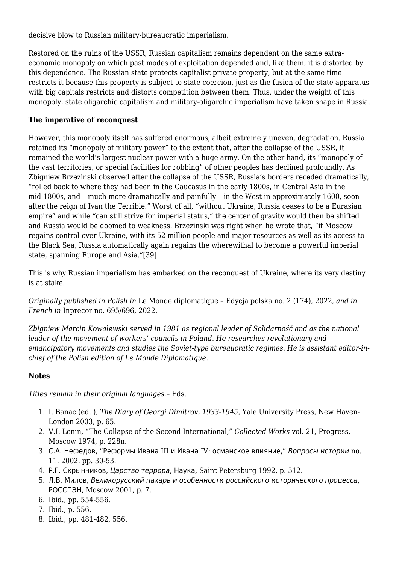decisive blow to Russian military-bureaucratic imperialism.

Restored on the ruins of the USSR, Russian capitalism remains dependent on the same extraeconomic monopoly on which past modes of exploitation depended and, like them, it is distorted by this dependence. The Russian state protects capitalist private property, but at the same time restricts it because this property is subject to state coercion, just as the fusion of the state apparatus with big capitals restricts and distorts competition between them. Thus, under the weight of this monopoly, state oligarchic capitalism and military-oligarchic imperialism have taken shape in Russia.

# **The imperative of reconquest**

However, this monopoly itself has suffered enormous, albeit extremely uneven, degradation. Russia retained its "monopoly of military power" to the extent that, after the collapse of the USSR, it remained the world's largest nuclear power with a huge army. On the other hand, its "monopoly of the vast territories, or special facilities for robbing" of other peoples has declined profoundly. As Zbigniew Brzezinski observed after the collapse of the USSR, Russia's borders receded dramatically, "rolled back to where they had been in the Caucasus in the early 1800s, in Central Asia in the mid-1800s, and – much more dramatically and painfully – in the West in approximately 1600, soon after the reign of Ivan the Terrible." Worst of all, "without Ukraine, Russia ceases to be a Eurasian empire" and while "can still strive for imperial status," the center of gravity would then be shifted and Russia would be doomed to weakness. Brzezinski was right when he wrote that, "if Moscow regains control over Ukraine, with its 52 million people and major resources as well as its access to the Black Sea, Russia automatically again regains the wherewithal to become a powerful imperial state, spanning Europe and Asia."[39]

This is why Russian imperialism has embarked on the reconquest of Ukraine, where its very destiny is at stake.

*Originally published in Polish in* Le Monde diplomatique – Edycja polska no. 2 (174), 2022, *and in French in* Inprecor no. 695/696, 2022.

*Zbigniew Marcin Kowalewski served in 1981 as regional leader of Solidarność and as the national leader of the movement of workers' councils in Poland. He researches revolutionary and emancipatory movements and studies the Soviet-type bureaucratic regimes. He is assistant editor-inchief of the Polish edition of Le Monde Diplomatique.*

## **Notes**

*Titles remain in their original languages.*– Eds.

- 1. I. Banac (ed. ), *The Diary of Georgi Dimitrov, 1933-1945*, Yale University Press, New Haven-London 2003, p. 65.
- 2. V.I. Lenin, "The Collapse of the Second International," *Collected Works* vol. 21, Progress, Moscow 1974, p. 228n.
- 3. С.А. Нефедов, "Реформы Ивана III и Ивана IV: османское влияние," Вопросы истории no. 11, 2002, pp. 30-53.
- 4. Р.Г. Скрынников, Царство террора, Наука, Saint Petersburg 1992, p. 512.
- 5. Л.В. Милов, Великорусский пахарь и особенности российского исторического процесса, РОССПЭН, Moscow 2001, p. 7.
- 6. Ibid., pp. 554-556.
- 7. Ibid., p. 556.
- 8. Ibid., pp. 481-482, 556.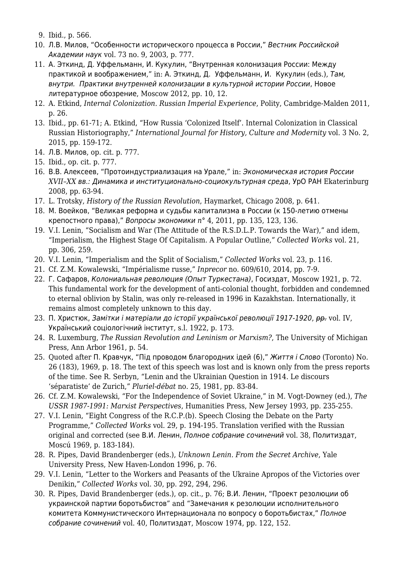- 9. Ibid., p. 566.
- 10. Л.В. Милов, "Особенности исторического процесса в России," Вестник Российской Академии наук vol. 73 no. 9, 2003, p. 777.
- 11. А. Эткинд, Д. Уффельманн, И. Кукулин, "Внутренная колонизация России: Между практикой и воображением," in: А. Эткинд, Д. Уффельманн, И. Кукулин (eds.), Там, внутри. Практики внутренней колонизации в культурной истории России, Новое литературное обозрение, Moscow 2012, pp. 10, 12.
- 12. A. Etkind, *Internal Colonization. Russian Imperial Experience*, Polity, Cambridge-Malden 2011, p. 26.
- 13. Ibid., pp. 61-71; A. Etkind, "How Russia 'Colonized Itself'. Internal Colonization in Classical Russian Historiography," *International Journal for History, Culture and Modernity* vol. 3 No. 2, 2015, pp. 159-172.
- 14. Л.В. Милов, op. cit. p. 777.
- 15. Ibid., op. cit. p. 777.
- 16. В.В. Алексеев, "Протоиндустриализация на Урале," in: Экономическая история России *XVII–XX* вв.: Динамика и институционально-социокультурная среда, УрО РАН Ekaterinburg 2008, pp. 63-94.
- 17. L. Trotsky, *History of the Russian Revolution*, Haymarket, Chicago 2008, p. 641.
- 18. М. Воейков, "Великая реформа и судьбы капитализма в России (к 150-летию отмены крепостного права)," Вопросы экономики *n*° 4, 2011, pp. 135, 123, 136.
- 19. V.I. Lenin, "Socialism and War (The Attitude of the R.S.D.L.P. Towards the War)," and idem, "Imperialism, the Highest Stage Of Capitalism. A Popular Outline," *Collected Works* vol. 21, pp. 306, 259.
- 20. V.I. Lenin, "Imperialism and the Split of Socialism," *Collected Works* vol. 23, p. 116.
- 21. Cf. Z.M. Kowalewski, "Impérialisme russe," *Inprecor* no. 609/610, 2014, pp. 7-9.
- 22. Г. Сафаров, Колониальная революция (Опыт Туркестана), Госиздат, Moscow 1921, p. 72. This fundamental work for the development of anti-colonial thought, forbidden and condemned to eternal oblivion by Stalin, was only re-released in 1996 in Kazakhstan. Internationally, it remains almost completely unknown to this day.
- 23. П. Христюк, Замітки і матеріали до історії української революції 1917-1920, <del>рр.</del> vol. IV, Український соціологічний інститут, s.l. 1922, p. 173.
- 24. R. Luxemburg, *The Russian Revolution and Leninism or Marxism?*, The University of Michigan Press, Ann Arbor 1961, p. 54.
- 25. Quoted after П. Кравчук, "Під проводом благородних ідей (6)," Життя і Слово (Toronto) No. 26 (183), 1969, p. 18. The text of this speech was lost and is known only from the press reports of the time. See R. Serbyn, "Lenin and the Ukrainian Question in 1914. Le discours 'séparatiste' de Zurich," *Pluriel-débat* no. 25, 1981, pp. 83-84.
- 26. Cf. Z.M. Kowalewski, "For the Independence of Soviet Ukraine," in M. Vogt-Downey (ed.), *The USSR 1987-1991: Marxist Perspectives*, Humanities Press, New Jersey 1993, pp. 235-255.
- 27. V.I. Lenin, "Eight Congress of the R.C.P.(b). Speech Closing the Debate on the Party Programme," *Collected Works* vol. 29, p. 194-195. Translation verified with the Russian original and corrected (see В.И. Ленин, Полное собрание сочинений vol. 38, Политиздат, Moscú 1969, p. 183-184).
- 28. R. Pipes, David Brandenberger (eds.), *Unknown Lenin. From the Secret Archive*, Yale University Press, New Haven-London 1996, p. 76.
- 29. V.I. Lenin, "Letter to the Workers and Peasants of the Ukraine Apropos of the Victories over Denikin," *Collected Works* vol. 30, pp. 292, 294, 296.
- 30. R. Pipes, David Brandenberger (eds.), op. cit., p. 76; В.И. Ленин, "Проект резолюции об украинской партии боротьбистов" and "Замечания к резолюции исполнительного комитета Коммунистического Интернационала по вопросу о боротьбистах," Полное собрание сочинений vol. 40, Политиздат, Moscow 1974, pp. 122, 152.